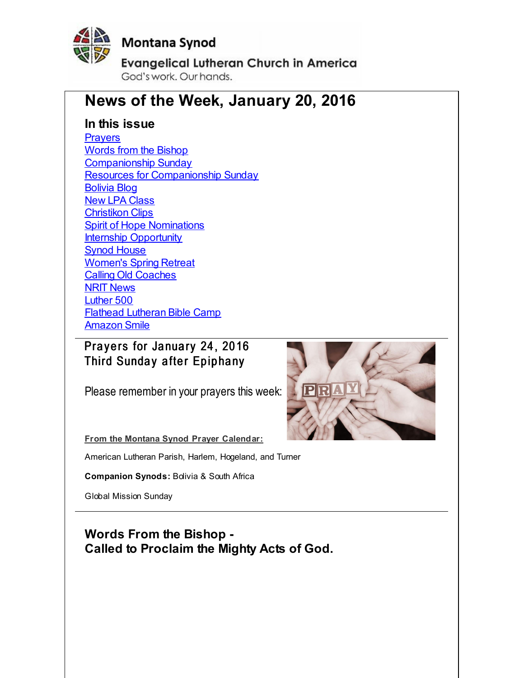<span id="page-0-0"></span>

# **Montana Synod**

**Evangelical Lutheran Church in America** God's work. Our hands.

# **News of the Week, January 20, 2016**

### **In this issue**

**[Prayers](#page-0-0)** Words from the [Bishop](#page-0-0) [Companionship](#page-0-0) Sunday Resources for [Companionship](#page-0-0) Sunday [Bolivia](#page-0-0) Blog **New LPA [Class](#page-0-0)** [Christikon](#page-0-0) Clips **Spirit of Hope [Nominations](#page-0-0)** Internship [Opportunity](#page-0-0) Synod [House](#page-0-0) [Women's](#page-0-0) Spring Retreat Calling Old [Coaches](#page-0-0) NRIT [News](#page-0-0) [Luther](#page-0-0) 500 Flathead [Lutheran](#page-0-0) Bible Camp **[Amazon](#page-0-0) Smile** 

# Prayers for January 24, 2016 Third Sunday after Epiphany

Please remember in your prayers this week:



**From the Montana Synod Prayer Calendar:**

American Lutheran Parish, Harlem, Hogeland, and Turner

**Companion Synods:** Bolivia & South Africa

Global Mission Sunday

**Words From the Bishop - Called to Proclaim the Mighty Acts of God.**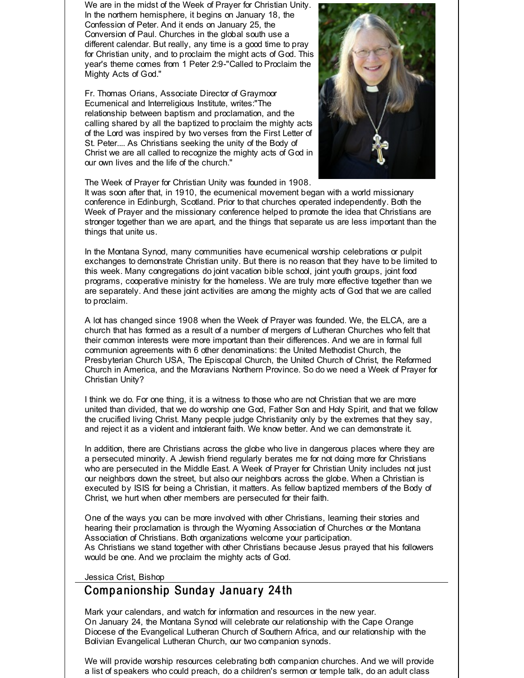We are in the midst of the Week of Prayer for Christian Unity. In the northern hemisphere, it begins on January 18, the Confession of Peter. And it ends on January 25, the Conversion of Paul. Churches in the global south use a different calendar. But really, any time is a good time to pray for Christian unity, and to proclaim the might acts of God. This year's theme comes from 1 Peter 2:9-"Called to Proclaim the Mighty Acts of God."

Fr. Thomas Orians, Associate Director of Graymoor Ecumenical and Interreligious Institute, writes:"The relationship between baptism and proclamation, and the calling shared by all the baptized to proclaim the mighty acts of the Lord was inspired by two verses from the First Letter of St. Peter.... As Christians seeking the unity of the Body of Christ we are all called to recognize the mighty acts of God in our own lives and the life of the church."



The Week of Prayer for Christian Unity was founded in 1908.

It was soon after that, in 1910, the ecumenical movement began with a world missionary conference in Edinburgh, Scotland. Prior to that churches operated independently. Both the Week of Prayer and the missionary conference helped to promote the idea that Christians are stronger together than we are apart, and the things that separate us are less important than the things that unite us.

In the Montana Synod, many communities have ecumenical worship celebrations or pulpit exchanges to demonstrate Christian unity. But there is no reason that they have to be limited to this week. Many congregations do joint vacation bible school, joint youth groups, joint food programs, cooperative ministry for the homeless. We are truly more effective together than we are separately. And these joint activities are among the mighty acts of God that we are called to proclaim.

A lot has changed since 1908 when the Week of Prayer was founded. We, the ELCA, are a church that has formed as a result of a number of mergers of Lutheran Churches who felt that their common interests were more important than their differences. And we are in formal full communion agreements with 6 other denominations: the United Methodist Church, the Presbyterian Church USA, The Episcopal Church, the United Church of Christ, the Reformed Church in America, and the Moravians Northern Province. So do we need a Week of Prayer for Christian Unity?

I think we do. For one thing, it is a witness to those who are not Christian that we are more united than divided, that we do worship one God, Father Son and Holy Spirit, and that we follow the crucified living Christ. Many people judge Christianity only by the extremes that they say, and reject it as a violent and intolerant faith. We know better. And we can demonstrate it.

In addition, there are Christians across the globe who live in dangerous places where they are a persecuted minority. A Jewish friend regularly berates me for not doing more for Christians who are persecuted in the Middle East. A Week of Prayer for Christian Unity includes not just our neighbors down the street, but also our neighbors across the globe. When a Christian is executed by ISIS for being a Christian, it matters. As fellow baptized members of the Body of Christ, we hurt when other members are persecuted for their faith.

One of the ways you can be more involved with other Christians, learning their stories and hearing their proclamation is through the Wyoming Association of Churches or the Montana Association of Christians. Both organizations welcome your participation. As Christians we stand together with other Christians because Jesus prayed that his followers would be one. And we proclaim the mighty acts of God.

Jessica Crist, Bishop

#### Companionship Sunday January 24th

Mark your calendars, and watch for information and resources in the new year. On January 24, the Montana Synod will celebrate our relationship with the Cape Orange Diocese of the Evangelical Lutheran Church of Southern Africa, and our relationship with the Bolivian Evangelical Lutheran Church, our two companion synods.

We will provide worship resources celebrating both companion churches. And we will provide a list of speakers who could preach, do a children's sermon or temple talk, do an adult class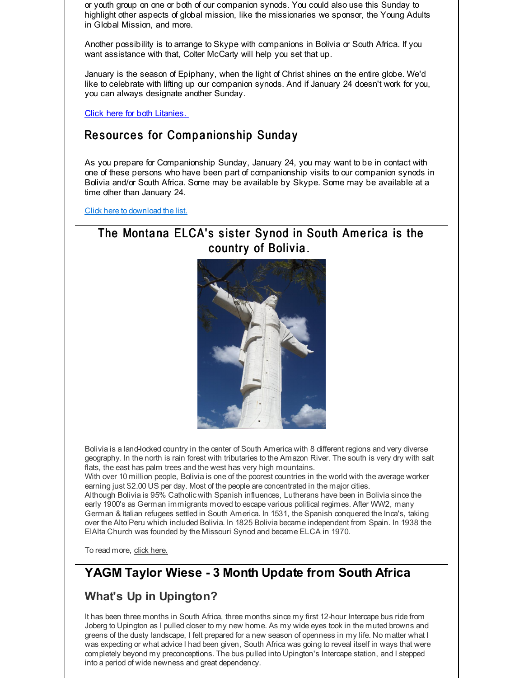or youth group on one or both of our companion synods. You could also use this Sunday to highlight other aspects of global mission, like the missionaries we sponsor, the Young Adults in Global Mission, and more.

Another possibility is to arrange to Skype with companions in Bolivia or South Africa. If you want assistance with that, Colter McCarty will help you set that up.

January is the season of Epiphany, when the light of Christ shines on the entire globe. We'd like to celebrate with lifting up our companion synods. And if January 24 doesn't work for you, you can always designate another Sunday.

Click here for both [Litanies.](http://r20.rs6.net/tn.jsp?f=001gWoZd7vWYClfA2YDzmDItMVhwUjwldPFYf4_05YjYxSIRTeXgMp8xh-6aTc0ftnLxL0bm0x5wEkg2d4x3z8DDSVUiUrxLtcarNggI6kHkLCj9jwooXUxrEcs8PiFw-v-3Vi58jW1CnCcti0Pdgy4Wyen5R94QgXRLbjXtvhK4oNRSv_bV7kkPeklcUI-Vx5HNY_T8P3v1aEKJcKDBaAXSnUwLSjob5b2&c=&ch=)

### Resources for Companionship Sunday

As you prepare for Companionship Sunday, January 24, you may want to be in contact with one of these persons who have been part of companionship visits to our companion synods in Bolivia and/or South Africa. Some may be available by Skype. Some may be available at a time other than January 24.

Click here to [download](http://r20.rs6.net/tn.jsp?f=001gWoZd7vWYClfA2YDzmDItMVhwUjwldPFYf4_05YjYxSIRTeXgMp8xk3fjtfvZB9miC1GbWrhAvN1kAx_xxxBlH7FHSkjELDbyoz-Twe_X1d77bTOZtWsJL7E4BeLf4Z5_Gd0zjWSEX94teultGyEvajspr1mMoJMHRPquf_z725nEnv1ySSFlq3W5K4KGDRnXB5gCR42mRuqJsRtfREu6izp7U_j1pNp2ircnbIwdKgsR9_8o0ebe2Dh1OzcqW9kQoIaCaxUMzIBCfHZhM3FcJGH5FQFjhhV&c=&ch=) the list.

### The Montana ELCA's sister Synod in South America is the country of Bolivia.



Bolivia is a land-locked country in the center of South America with 8 different regions and very diverse geography. In the north is rain forest with tributaries to the Amazon River. The south is very dry with salt flats, the east has palm trees and the west has very high mountains.

With over 10 million people, Bolivia is one of the poorest countries in the world with the average worker earning just \$2.00 US per day. Most of the people are concentrated in the major cities. Although Bolivia is 95% Catholic with Spanish influences, Lutherans have been in Bolivia since the early 1900's as German immigrants moved to escape various political regimes. After WW2, many German & Italian refugees settled in South America. In 1531, the Spanish conquered the Inca's, taking over the Alto Peru which included Bolivia. In 1825 Bolivia became independent from Spain. In 1938 the ElAlta Church was founded by the Missouri Synod and became ELCA in 1970.

To read more, click [here.](http://r20.rs6.net/tn.jsp?f=001gWoZd7vWYClfA2YDzmDItMVhwUjwldPFYf4_05YjYxSIRTeXgMp8xq6dWRfoZ4Dd2JdNic1ea4taSAdxWGJc1svDdFXN2AZDHtOVEUMSM7OSuKYiiuMR5Bk3eLuURmQdFIBLnwMJLwpf9tfEE1TqgqDRij4r0eaOhWf-S1dVgLaV1638LAY3EgU_OPlNie7whpMmzj12HB8=&c=&ch=)

# **YAGM Taylor Wiese - 3 Month Update from South Africa**

# **What's Up in Upington?**

It has been three months in South Africa, three months since my first 12-hour Intercape bus ride from Joberg to Upington as I pulled closer to my new home. As my wide eyes took in the muted browns and greens of the dusty landscape, I felt prepared for a new season of openness in my life. No matter what I was expecting or what advice I had been given, South Africa was going to reveal itself in ways that were completely beyond my preconceptions. The bus pulled into Upington's Intercape station, and I stepped into a period of wide newness and great dependency.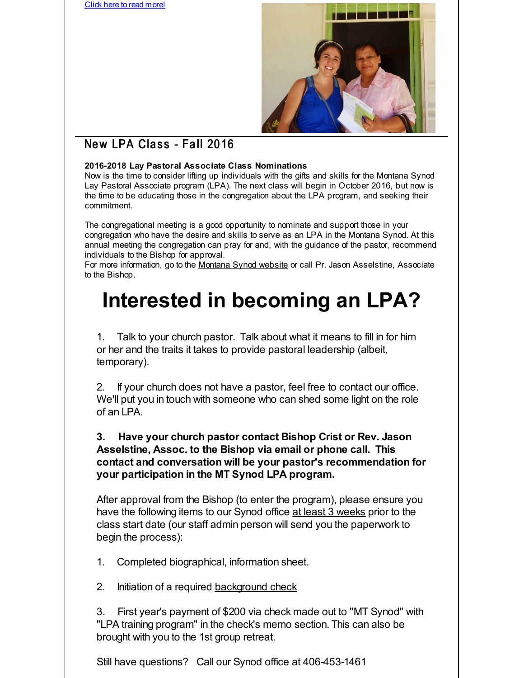Click here to read [more!](http://r20.rs6.net/tn.jsp?f=001gWoZd7vWYClfA2YDzmDItMVhwUjwldPFYf4_05YjYxSIRTeXgMp8xhUDER-aujSermCo-ocSx26YeKX_n4Uod_R1yeSPwpGtJXvmZavd9n6LEGJoVn0WnDQM-eRjghpnklxhsdrMy0gf5OgrJrCzgU6FHWvfiinKcXWm8l1Y9E3H8Q4q1pHriS2IoD2NjvMUAnezjxRTB6Zx4LdKO0lHtTFsEkUa2fOvtQTJ8Frb2o0mG7LzJtBwJIJ2zyop483S&c=&ch=)



# New LPA Class - Fall 2016

#### **2016-2018 Lay Pastoral Associate Class Nominations**

Now is the time to consider lifting up individuals with the gifts and skills for the Montana Synod Lay Pastoral Associate program (LPA). The next class will begin in October 2016, but now is the time to be educating those in the congregation about the LPA program, and seeking their commitment.

The congregational meeting is a good opportunity to nominate and support those in your congregation who have the desire and skills to serve as an LPA in the Montana Synod. At this annual meeting the congregation can pray for and, with the guidance of the pastor, recommend individuals to the Bishop for approval.

For more information, go to the [Montana](http://r20.rs6.net/tn.jsp?f=001gWoZd7vWYClfA2YDzmDItMVhwUjwldPFYf4_05YjYxSIRTeXgMp8xuR3wj-pVyxKdBJ-L9-L7g3Mfzk7b1QfApjD4spl6mMHt1JIyZSRbXpcH7EYx6ch94lohkupROCBEvR03LvSEvP1i4IZDQunrrwH8O_Os-bByd4rZ8IsvYwM61ArLltEaQ==&c=&ch=) Synod website or call Pr. Jason Asselstine, Associate to the Bishop.

# **Interested in becoming an LPA?**

1. Talk to your church pastor. Talk about what it means to fill in for him or her and the traits it takes to provide pastoral leadership (albeit, temporary).

2. If your church does not have a pastor, feel free to contact our office. We'll put you in touch with someone who can shed some light on the role of an LPA.

#### **3. Have your church pastor contact Bishop Crist or Rev. Jason Asselstine, Assoc. to the Bishop via email or phone call. This contact and conversation will be your pastor's recommendation for your participation in the MT Synod LPA program.**

After approval from the Bishop (to enter the program), please ensure you have the following items to our Synod office at least 3 weeks prior to the class start date (our staff admin person will send you the paperwork to begin the process):

- 1. Completed biographical, information sheet.
- 2. Initiation of a required [background](http://r20.rs6.net/tn.jsp?f=001gWoZd7vWYClfA2YDzmDItMVhwUjwldPFYf4_05YjYxSIRTeXgMp8xhUDER-aujSeWMO3epmOJLr1HMgA66c8HJEX2QhVTiCfvbb1bux_vfSQN15d9Gwsq1nBCaeZJSL2zS15cgeeQUDCQKTm7k86RFGvM5p5zGOsPaQCH3OVxYAB6K9xcw9MaDY_HVUw-kUdik7UpgiQoAotmsR8OjbmQA==&c=&ch=) check

3. First year's payment of \$200 via check made out to "MT Synod" with "LPA training program" in the check's memo section. This can also be brought with you to the 1st group retreat.

Still have questions? Call our Synod office at 406-453-1461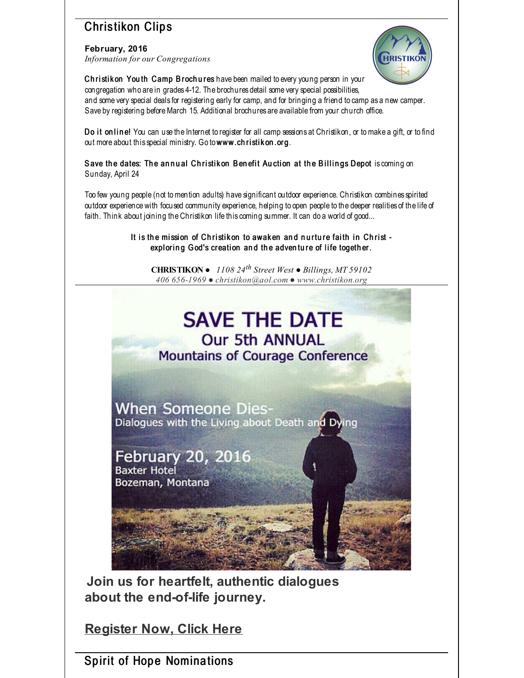# **Christikon Clips**

**February, 2016** *Information for our Congregations*



Christik on You th Camp B roch u res have been mailed to every young person in your congregation who are in grades 4-12. The brochures detail some very special possibilities, and some very special deals for registering early for camp, and for bringing a friend to camp as a new camper. Save by registering before March 15. Additional brochures are available from your church office.

Do it on line! You can use the Internet to register for all camp sessions at Christikon, or to make a gift, or to find out more about this special ministry. Go to www.ch ristik on.org.

Save the dates: The annual Christikon Benefit Auction at the Billings Depot is coming on Sunday, April 24

Too few young people (not tomention adults) have significant outdoor experience. Christikon combines spirited outdoor experience with focused community experience, helping to open people to the deeper realities of the life of faith. Think about joining the Christikon life this coming summer. It can do a world of good...

> It is the mission of Christikon to awaken and nurture faith in Christ exploring God's creation and the adventure of life together.

**CHRISTIKON** ● *1108 24 th Street West ● Billings, MT 59102 406 656-1969 ● christikon@aol.com ● www.christikon.org*



**Join us for heartfelt, authentic dialogues about the end-of-life journey.**

**[Register](http://r20.rs6.net/tn.jsp?f=001gWoZd7vWYClfA2YDzmDItMVhwUjwldPFYf4_05YjYxSIRTeXgMp8xhUDER-aujSe2hWZz8yr-OGM141Pbf67jB0solR15hfIzalkG2q5KnpEmkjCUKp5IdCNlG6N8AhtJ0unaoEtoqeG3m2208oTumsoRme8hHWyOubV68H6KefRJkz1EeNRpt7sLpP4cqPFD30NMd3YYo8sUcp_HCga5DeqDr-5Gt4ztmU7HNyuNRA=&c=&ch=) Now, Click Here**

Spirit of Hope Nominations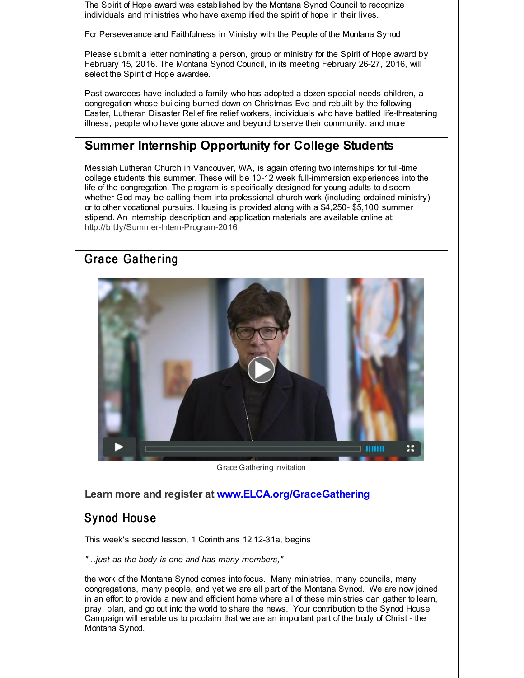The Spirit of Hope award was established by the Montana Synod Council to recognize individuals and ministries who have exemplified the spirit of hope in their lives.

For Perseverance and Faithfulness in Ministry with the People of the Montana Synod

Please submit a letter nominating a person, group or ministry for the Spirit of Hope award by February 15, 2016. The Montana Synod Council, in its meeting February 26-27, 2016, will select the Spirit of Hope awardee.

Past awardees have included a family who has adopted a dozen special needs children, a congregation whose building burned down on Christmas Eve and rebuilt by the following Easter, Lutheran Disaster Relief fire relief workers, individuals who have battled life-threatening illness, people who have gone above and beyond to serve their community, and more

### **Summer Internship Opportunity for College Students**

Messiah Lutheran Church in Vancouver, WA, is again offering two internships for full-time college students this summer. These will be 10-12 week full-immersion experiences into the life of the congregation. The program is specifically designed for young adults to discern whether God may be calling them into professional church work (including ordained ministry) or to other vocational pursuits. Housing is provided along with a \$4,250- \$5,100 summer stipend. An internship description and application materials are available online at: [http://bit.ly/Summer-Intern-Program-2016](http://r20.rs6.net/tn.jsp?f=001gWoZd7vWYClfA2YDzmDItMVhwUjwldPFYf4_05YjYxSIRTeXgMp8xhUDER-aujSehNqDrCWYdxBLALM5ynDKSFgYDYj4wzRIDjXBYeqJGOyv9yBSy34e3UxcV2uLro8SgnASPyM7GwAU_bZRTLZ7n8TPiCmrkWiMJlPFFabBL-5d7yBmWZrtdMfbd9ow7Rv1&c=&ch=)

### Grace Gathering



Grace Gathering Invitation

**Learn more and register at [www.ELCA.org/GraceGathering](http://r20.rs6.net/tn.jsp?f=001gWoZd7vWYClfA2YDzmDItMVhwUjwldPFYf4_05YjYxSIRTeXgMp8xhUDER-aujSeR-SJ_Poepfh8WK-ZBVJXKCoN8HZ-OIpxycmX1OpZEZ9fhv1TimeKUowhHNFiie0WmHBy2Qvc8txM9c1X6IklrmI9-0OpOZZsVEwSvhpHP5QVgtjPAwblJ_YhAqaYq0AgdkAjd-i0puzbLxQg7C1z2Z_uax4_I-M-C0Hj4cDXP16AbHwrf775xu2Za6fzlO54huLm33-URuqcvKgrnzcmYVdWkvbKLz-mJoGxU9FDKTh0vkzxT4ZR18RI_5jSXIBJrglSyGyimSLlxHJiXEge0Oc7_d7PQEYj7H9uVOCElBHtOweghOOvy3yY87Fzn-97Sbhbqngs8js=&c=&ch=)**

#### Sy nod Hous e

This week's second lesson, 1 Corinthians 12:12-31a, begins

*"...just as the body is one and has many members,"*

the work of the Montana Synod comes into focus. Many ministries, many councils, many congregations, many people, and yet we are all part of the Montana Synod. We are now joined in an effort to provide a new and efficient home where all of these ministries can gather to learn, pray, plan, and go out into the world to share the news. Your contribution to the Synod House Campaign will enable us to proclaim that we are an important part of the body of Christ - the Montana Synod.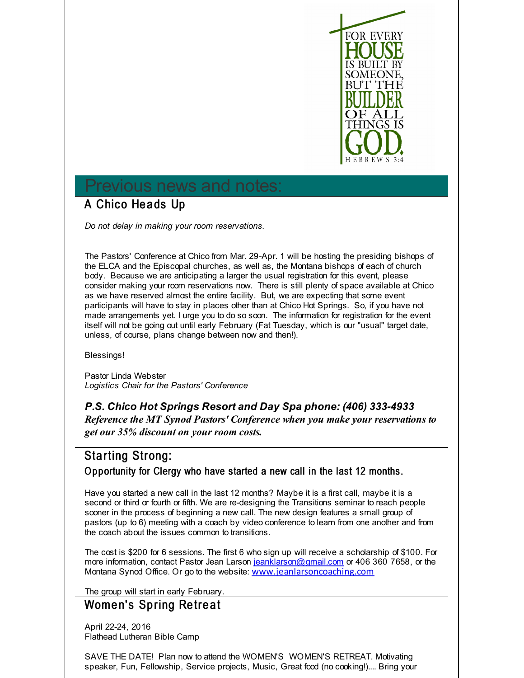

# Previous news and notes:

# A Chico Heads Up

*Do not delay in making your room reservations.*

The Pastors' Conference at Chico from Mar. 29-Apr. 1 will be hosting the presiding bishops of the ELCA and the Episcopal churches, as well as, the Montana bishops of each of church body. Because we are anticipating a larger the usual registration for this event, please consider making your room reservations now. There is still plenty of space available at Chico as we have reserved almost the entire facility. But, we are expecting that some event participants will have to stay in places other than at Chico Hot Springs. So, if you have not made arrangements yet. I urge you to do so soon. The information for registration for the event itself will not be going out until early February (Fat Tuesday, which is our "usual" target date, unless, of course, plans change between now and then!).

Blessings!

Pastor Linda Webster *Logistics Chair for the Pastors' Conference*

#### *P.S. Chico Hot Springs Resort and Day Spa phone: (406) 333-4933 Reference the MT Synod Pastors' Conference when you make your reservations to get our 35% discount on your room costs.*

#### Starting Strong:

Opportunity for Clergy who have started a new call in the last 12 months.

Have you started a new call in the last 12 months? Maybe it is a first call, maybe it is a second or third or fourth or fifth. We are re-designing the Transitions seminar to reach people sooner in the process of beginning a new call. The new design features a small group of pastors (up to 6) meeting with a coach by video conference to learn from one another and from the coach about the issues common to transitions.

The cost is \$200 for 6 sessions. The first 6 who sign up will receive a scholarship of \$100. For more information, contact Pastor Jean Larson [jeanklarson@gmail.com](mailto:jeanklarson@gmail.com) or 406 360 7658, or the Montana Synod Office. Or go to the website: [www.jeanlarsoncoaching.com](http://r20.rs6.net/tn.jsp?f=001gWoZd7vWYClfA2YDzmDItMVhwUjwldPFYf4_05YjYxSIRTeXgMp8xh-6aTc0ftnLUzVH7yXICvckosRPC1o6r2GiuoxrpAi0fOikEcpN1YOc2A1EUySVpOpJ5b28y7smrRgxeg6WhTBjgcQuN3HyCKYGabMgqI7xtSszUMtc2iVKscJBGv1WfA==&c=&ch=)

The group will start in early February.

#### Women's Spring Retreat

April 22-24, 2016 Flathead Lutheran Bible Camp

SAVE THE DATE! Plan now to attend the WOMEN'S WOMEN'S RETREAT. Motivating speaker, Fun, Fellowship, Service projects, Music, Great food (no cooking!).... Bring your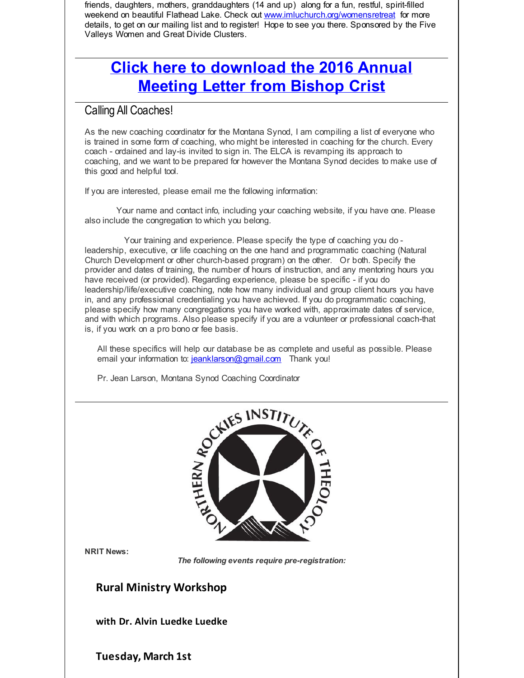friends, daughters, mothers, granddaughters (14 and up) along for a fun, restful, spirit-filled weekend on beautiful Flathead Lake. Check out [www.imluchurch.org/womensretreat](http://r20.rs6.net/tn.jsp?f=001gWoZd7vWYClfA2YDzmDItMVhwUjwldPFYf4_05YjYxSIRTeXgMp8xsqgDHkVAAAyRoGmZA0pplTSM-jrk0Hk7s1zY2piu40Hsd6F_BvynZAlKSiV4x-2-9W7WcxBgeFVPyTAwXU1nEiIZOElbIGHspbpPf8EViP6I3Hoz0qZiEdbCui3lstMWJTxM690COYT&c=&ch=) for more details, to get on our mailing list and to register! Hope to see you there. Sponsored by the Five Valleys Women and Great Divide Clusters.

# **Click here to [download](http://r20.rs6.net/tn.jsp?f=001gWoZd7vWYClfA2YDzmDItMVhwUjwldPFYf4_05YjYxSIRTeXgMp8xh-6aTc0ftnLVU_etVPNQoLK-Yj-I4-HFY4gmYKeK4awZnsBAlIxfReMBXOBlgSgIW1WUlANxIacFV_DGox-hw5C5wm609JR04K9wzYj4NgaYuS2SYEP1Il9MCxTm0_kKpjvWC45pzzgnqVsjwnPPa3lNIba92SA3bdD99LXY471CJF7HnrfGWAyiv_fT1lUfrLe7SDPVM_x31APjqxfLcM=&c=&ch=) the 2016 Annual Meeting Letter from Bishop Crist**

#### Calling All Coaches!

As the new coaching coordinator for the Montana Synod, I am compiling a list of everyone who is trained in some form of coaching, who might be interested in coaching for the church. Every coach - ordained and lay-is invited to sign in. The ELCA is revamping its approach to coaching, and we want to be prepared for however the Montana Synod decides to make use of this good and helpful tool.

If you are interested, please email me the following information:

Your name and contact info, including your coaching website, if you have one. Please also include the congregation to which you belong.

Your training and experience. Please specify the type of coaching you do leadership, executive, or life coaching on the one hand and programmatic coaching (Natural Church Development or other church-based program) on the other. Or both. Specify the provider and dates of training, the number of hours of instruction, and any mentoring hours you have received (or provided). Regarding experience, please be specific - if you do leadership/life/executive coaching, note how many individual and group client hours you have in, and any professional credentialing you have achieved. If you do programmatic coaching, please specify how many congregations you have worked with, approximate dates of service, and with which programs. Also please specify if you are a volunteer or professional coach-that is, if you work on a pro bono or fee basis.

All these specifics will help our database be as complete and useful as possible. Please email your information to: [jeanklarson@gmail.com](mailto:jeanklarson@gmail.com) Thank you!

Pr. Jean Larson, Montana Synod Coaching Coordinator



**NRIT News:**

*The following events require pre-registration:*

#### **Rural Ministry Workshop**

**with Dr. Alvin Luedke Luedke**

**Tuesday, March 1st**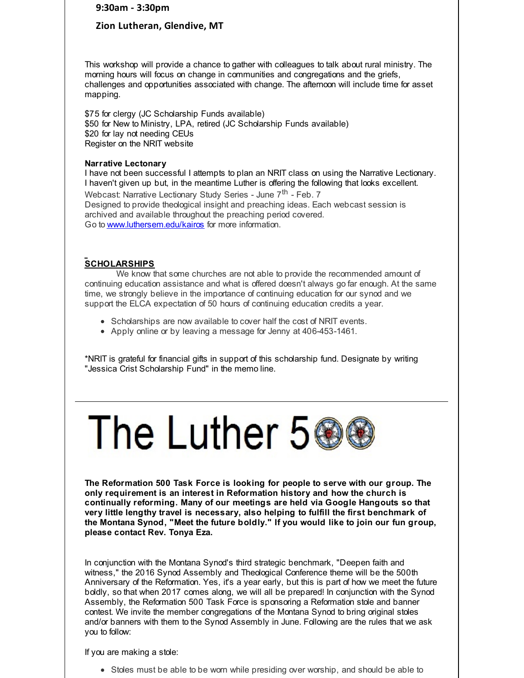**9:30am - 3:30pm**

#### **Zion Lutheran, Glendive, MT**

This workshop will provide a chance to gather with colleagues to talk about rural ministry. The morning hours will focus on change in communities and congregations and the griefs, challenges and opportunities associated with change. The afternoon will include time for asset mapping.

\$75 for clergy (JC Scholarship Funds available) \$50 for New to Ministry, LPA, retired (JC Scholarship Funds available) \$20 for lay not needing CEUs Register on the NRIT website

#### **Narrative Lectonary**

I have not been successful I attempts to plan an NRIT class on using the Narrative Lectionary. I haven't given up but, in the meantime Luther is offering the following that looks excellent. Webcast: Narrative Lectionary Study Series - June 7<sup>th</sup> - Feb. 7 Designed to provide theological insight and preaching ideas. Each webcast session is archived and available throughout the preaching period covered. Go to [www.luthersem.edu/kairos](http://r20.rs6.net/tn.jsp?f=001gWoZd7vWYClfA2YDzmDItMVhwUjwldPFYf4_05YjYxSIRTeXgMp8xhUDER-aujSeXkvsnILxHwFI7tX6N5pKiTgeAEZOgFSl8uu0_dJH-1NLRLKtW1_oMHM6u41v5c9hK3ti9Z7dwmvt6gcd4uJnI14Ichs_pbFBg7OWCsBn5d0bXcajyAXexg==&c=&ch=) for more information.

#### **SCHOLARSHIPS**

We know that some churches are not able to provide the recommended amount of continuing education assistance and what is offered doesn't always go far enough. At the same time, we strongly believe in the importance of continuing education for our synod and we support the ELCA expectation of 50 hours of continuing education credits a year.

- Scholarships are now available to cover half the cost of NRIT events.
- Apply online or by leaving a message for Jenny at 406-453-1461.

\*NRIT is grateful for financial gifts in support of this scholarship fund. Designate by writing "Jessica Crist Scholarship Fund" in the memo line.



**The Reformation 500 Task Force is looking for people to serve with our group. The only requirement is an interest in Reformation history and how the church is continually reforming. Many of our meetings are held via Google Hangouts so that very little lengthy travel is necessary, also helping to fulfill the first benchmark of the Montana Synod, "Meet the future boldly." If you would like to join our fun group, please contact Rev. Tonya Eza.**

In conjunction with the Montana Synod's third strategic benchmark, "Deepen faith and witness," the 2016 Synod Assembly and Theological Conference theme will be the 500th Anniversary of the Reformation. Yes, it's a year early, but this is part of how we meet the future boldly, so that when 2017 comes along, we will all be prepared! In conjunction with the Synod Assembly, the Reformation 500 Task Force is sponsoring a Reformation stole and banner contest. We invite the member congregations of the Montana Synod to bring original stoles and/or banners with them to the Synod Assembly in June. Following are the rules that we ask you to follow:

If you are making a stole:

• Stoles must be able to be worn while presiding over worship, and should be able to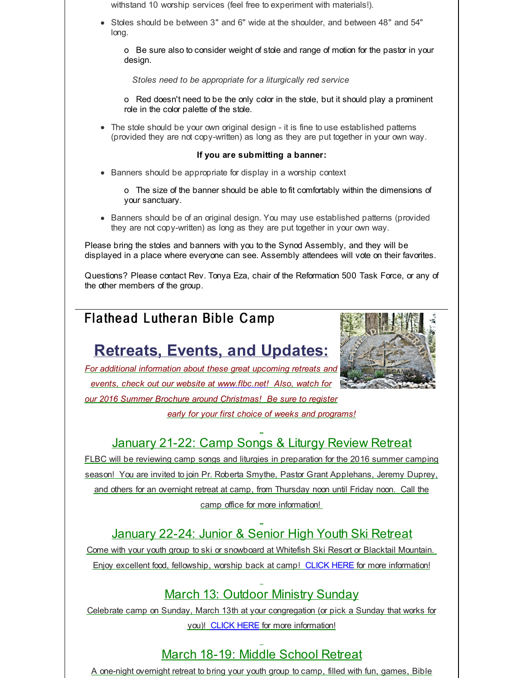withstand 10 worship services (feel free to experiment with materials!).

Stoles should be between 3" and 6" wide at the shoulder, and between 48" and 54" long.

o Be sure also to consider weight of stole and range of motion for the pastor in your design.

*Stoles need to be appropriate for a liturgically red service*

o Red doesn't need to be the only color in the stole, but it should play a prominent role in the color palette of the stole.

The stole should be your own original design - it is fine to use established patterns (provided they are not copy-written) as long as they are put together in your own way.

#### **If you are submitting a banner:**

- Banners should be appropriate for display in a worship context
	- o The size of the banner should be able to fit comfortably within the dimensions of your sanctuary.
- Banners should be of an original design. You may use established patterns (provided they are not copy-written) as long as they are put together in your own way.

Please bring the stoles and banners with you to the Synod Assembly, and they will be displayed in a place where everyone can see. Assembly attendees will vote on their favorites.

Questions? Please contact Rev. Tonya Eza, chair of the Reformation 500 Task Force, or any of the other members of the group.

# Flathead Lutheran Bible Camp

# **Retreats, Events, and Updates:**



*For additional information about these great upcoming retreats and events, check out our website at [www.flbc.net](http://r20.rs6.net/tn.jsp?f=001gWoZd7vWYClfA2YDzmDItMVhwUjwldPFYf4_05YjYxSIRTeXgMp8xk3fjtfvZB9mfmDyV-MKqcn6Nz5CWdrYprwgj_gZC0RE3w1spbesnwbF2zygf0ZDY4F5r5p0TbZWjPojzrLoMXYmarJoEn0Rwf7tN7iNIJ29w0v1vEZPN4H8cItW4Lc6u8Ds6YOEVOS6Ggb5l4iqvPCWBHexM7grdQgy70TnpEkigvKhKF-NQ252hQBGyXe-CL3aW8jsqIst&c=&ch=)! Also, watch for our 2016 Summer Brochure around Christmas! Be sure to register*

*early for your first choice of weeks and programs!*

# January 21-22: Camp Songs & Liturgy Review Retreat

FLBC will be reviewing camp songs and liturgies in preparation for the 2016 summer camping season! You are invited to join Pr. Roberta Smythe, Pastor Grant Applehans, Jeremy Duprey, and others for an overnight retreat at camp, from Thursday noon until Friday noon. Call the camp office for more information!

# January 22-24: Junior & Senior High Youth Ski Retreat

Come with your youth group to ski or snowboard at Whitefish Ski Resort or Blacktail Mountain. Enjoy excellent food, fellowship, worship back at camp! [CLICK](http://r20.rs6.net/tn.jsp?f=001gWoZd7vWYClfA2YDzmDItMVhwUjwldPFYf4_05YjYxSIRTeXgMp8xk3fjtfvZB9m8GeCguWqmI_MuKIQBLn_TU8e4OBjKf1eRvK1CyZ1oaTVfS_CQtEIjpvIk_f7kYKt5Ogy2xMZnCZkThyS7FYIe1IFAK_sNSZYWqm0qck22myFXtw1az2NKYOZMxpg7YzFQF6C-AksEu7mcA56vnkI_zVJbWxv1R-GoPm1vhZtxWpusTCtRsXMrLUEK6Ostg0z&c=&ch=) HERE for more information!

# March 13: Outdoor Ministry Sunday

Celebrate camp on Sunday, March 13th at your congregation (or pick a Sunday that works for you)! [CLICK](http://r20.rs6.net/tn.jsp?f=001gWoZd7vWYClfA2YDzmDItMVhwUjwldPFYf4_05YjYxSIRTeXgMp8xk3fjtfvZB9mgMK3zfU_-nYu-NFd_cIES8a8AflU9YCajdCNIPpsTr07XJjF-7Vhs6msQwQzsplaUt9gHBBFYcyH1ksatKeVfcrh8n0_rn01XCnr6snOLXee2-Yn2HROfMYPMnpPCSWvzLqe4kem_FdVe1qe13j4-6LruQj2Jv9cxltWitKhqVo7JDgZ_z1kTNtcs8-MAXvO&c=&ch=) HERE for more information!

# March 18-19: Middle School Retreat

A one-night overnight retreat to bring your youth group to camp, filled with fun, games, Bible